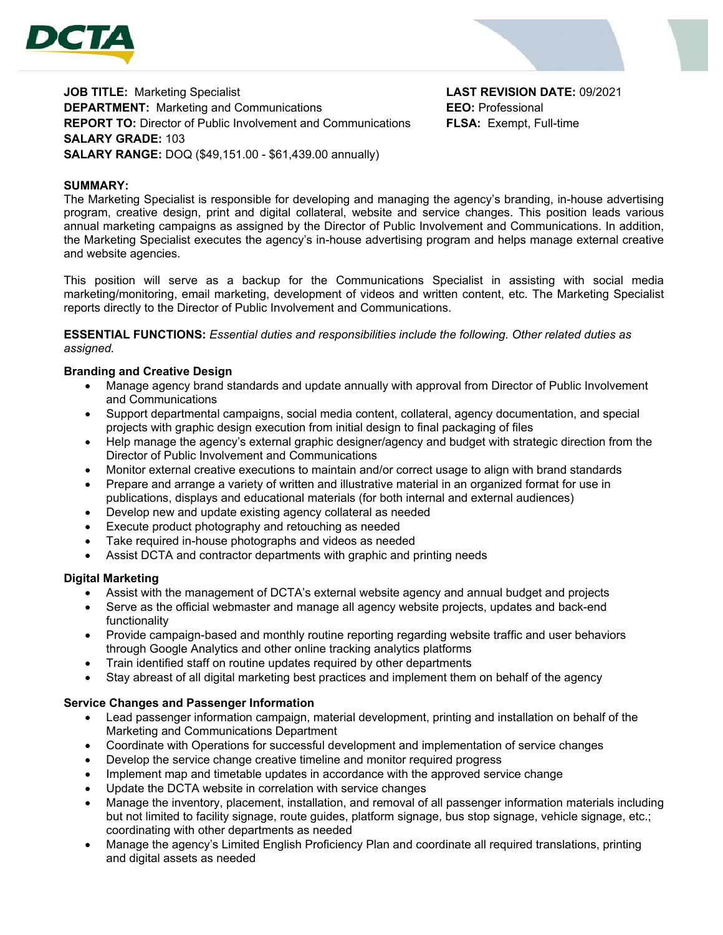

**JOB TITLE:** Marketing Specialist **LAST REVISION DATE:** 09/2021 **DEPARTMENT:** Marketing and Communications **EEO:** Professional **REPORT TO:** Director of Public Involvement and Communications **FLSA:** Exempt, Full-time **SALARY GRADE:** 103 **SALARY RANGE:** DOQ (\$49,151.00 - \$61,439.00 annually)

### **SUMMARY:**

The Marketing Specialist is responsible for developing and managing the agency's branding, in-house advertising program, creative design, print and digital collateral, website and service changes. This position leads various annual marketing campaigns as assigned by the Director of Public Involvement and Communications. In addition, the Marketing Specialist executes the agency's in-house advertising program and helps manage external creative and website agencies.

This position will serve as a backup for the Communications Specialist in assisting with social media marketing/monitoring, email marketing, development of videos and written content, etc. The Marketing Specialist reports directly to the Director of Public Involvement and Communications.

**ESSENTIAL FUNCTIONS:** *Essential duties and responsibilities include the following. Other related duties as assigned.*

#### **Branding and Creative Design**

- Manage agency brand standards and update annually with approval from Director of Public Involvement and Communications
- Support departmental campaigns, social media content, collateral, agency documentation, and special projects with graphic design execution from initial design to final packaging of files
- Help manage the agency's external graphic designer/agency and budget with strategic direction from the Director of Public Involvement and Communications
- Monitor external creative executions to maintain and/or correct usage to align with brand standards
- Prepare and arrange a variety of written and illustrative material in an organized format for use in publications, displays and educational materials (for both internal and external audiences)
- Develop new and update existing agency collateral as needed
- Execute product photography and retouching as needed
- Take required in-house photographs and videos as needed
- Assist DCTA and contractor departments with graphic and printing needs

#### **Digital Marketing**

- Assist with the management of DCTA's external website agency and annual budget and projects
- Serve as the official webmaster and manage all agency website projects, updates and back-end functionality
- Provide campaign-based and monthly routine reporting regarding website traffic and user behaviors through Google Analytics and other online tracking analytics platforms
- Train identified staff on routine updates required by other departments
- Stay abreast of all digital marketing best practices and implement them on behalf of the agency

#### **Service Changes and Passenger Information**

- Lead passenger information campaign, material development, printing and installation on behalf of the Marketing and Communications Department
- Coordinate with Operations for successful development and implementation of service changes
- Develop the service change creative timeline and monitor required progress
- Implement map and timetable updates in accordance with the approved service change
- Update the DCTA website in correlation with service changes
- Manage the inventory, placement, installation, and removal of all passenger information materials including but not limited to facility signage, route guides, platform signage, bus stop signage, vehicle signage, etc.; coordinating with other departments as needed
- Manage the agency's Limited English Proficiency Plan and coordinate all required translations, printing and digital assets as needed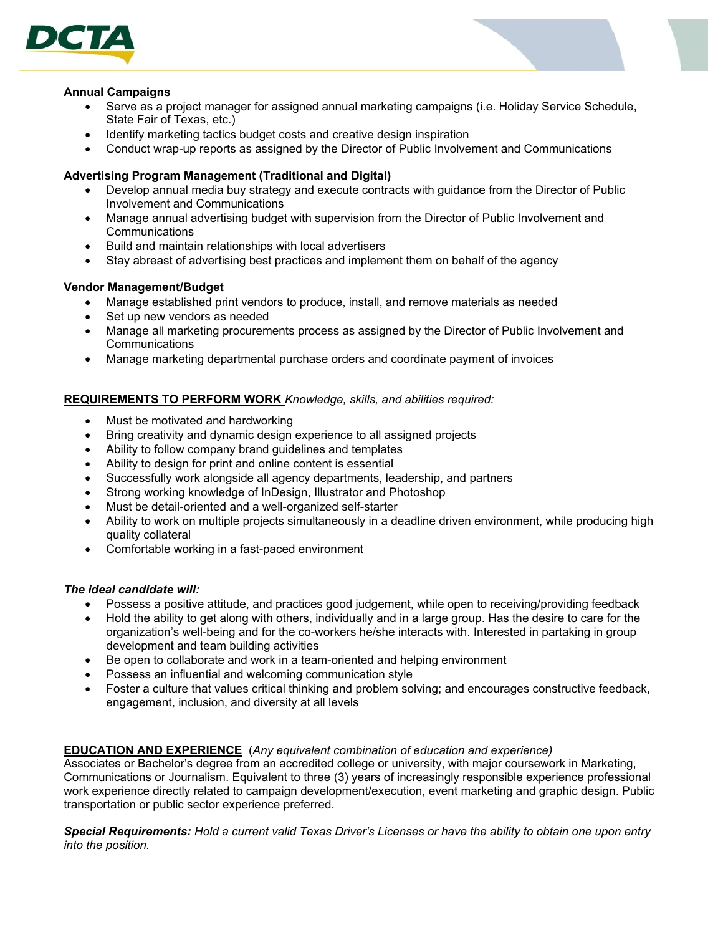

#### **Annual Campaigns**

- Serve as a project manager for assigned annual marketing campaigns (i.e. Holiday Service Schedule, State Fair of Texas, etc.)
- Identify marketing tactics budget costs and creative design inspiration
- Conduct wrap-up reports as assigned by the Director of Public Involvement and Communications

### **Advertising Program Management (Traditional and Digital)**

- Develop annual media buy strategy and execute contracts with guidance from the Director of Public Involvement and Communications
- Manage annual advertising budget with supervision from the Director of Public Involvement and **Communications**
- Build and maintain relationships with local advertisers
- Stay abreast of advertising best practices and implement them on behalf of the agency

### **Vendor Management/Budget**

- Manage established print vendors to produce, install, and remove materials as needed
- Set up new vendors as needed
- Manage all marketing procurements process as assigned by the Director of Public Involvement and Communications
- Manage marketing departmental purchase orders and coordinate payment of invoices

## **REQUIREMENTS TO PERFORM WORK** *Knowledge, skills, and abilities required:*

- Must be motivated and hardworking
- Bring creativity and dynamic design experience to all assigned projects
- Ability to follow company brand guidelines and templates
- Ability to design for print and online content is essential
- Successfully work alongside all agency departments, leadership, and partners
- Strong working knowledge of InDesign, Illustrator and Photoshop
- Must be detail-oriented and a well-organized self-starter
- Ability to work on multiple projects simultaneously in a deadline driven environment, while producing high quality collateral
- Comfortable working in a fast-paced environment

### *The ideal candidate will:*

- Possess a positive attitude, and practices good judgement, while open to receiving/providing feedback
- Hold the ability to get along with others, individually and in a large group. Has the desire to care for the organization's well-being and for the co-workers he/she interacts with. Interested in partaking in group development and team building activities
- Be open to collaborate and work in a team-oriented and helping environment
- Possess an influential and welcoming communication style
- Foster a culture that values critical thinking and problem solving; and encourages constructive feedback, engagement, inclusion, and diversity at all levels

# **EDUCATION AND EXPERIENCE** (*Any equivalent combination of education and experience)*

Associates or Bachelor's degree from an accredited college or university, with major coursework in Marketing, Communications or Journalism. Equivalent to three (3) years of increasingly responsible experience professional work experience directly related to campaign development/execution, event marketing and graphic design. Public transportation or public sector experience preferred.

*Special Requirements: Hold a current valid Texas Driver's Licenses or have the ability to obtain one upon entry into the position.*